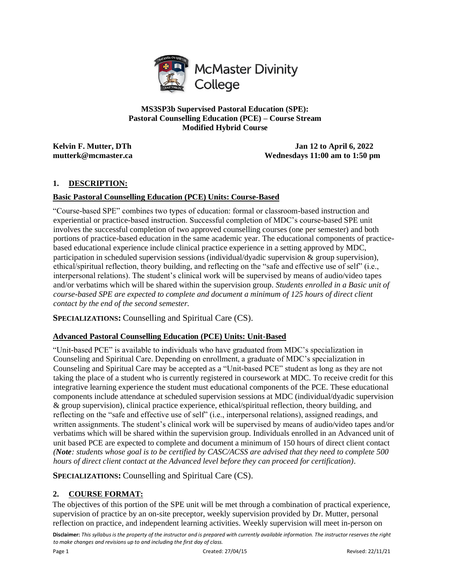

**MS3SP3b Supervised Pastoral Education (SPE): Pastoral Counselling Education (PCE) – Course Stream Modified Hybrid Course**

**Kelvin F. Mutter, DTh Jan 12 to April 6, 2022 mutterk@mcmaster.ca Wednesdays 11:00 am to 1:50 pm** 

# **1. DESCRIPTION:**

# **Basic Pastoral Counselling Education (PCE) Units: Course-Based**

"Course-based SPE" combines two types of education: formal or classroom-based instruction and experiential or practice-based instruction. Successful completion of MDC's course-based SPE unit involves the successful completion of two approved counselling courses (one per semester) and both portions of practice-based education in the same academic year. The educational components of practicebased educational experience include clinical practice experience in a setting approved by MDC, participation in scheduled supervision sessions (individual/dyadic supervision & group supervision), ethical/spiritual reflection, theory building, and reflecting on the "safe and effective use of self" (i.e., interpersonal relations). The student's clinical work will be supervised by means of audio/video tapes and/or verbatims which will be shared within the supervision group. *Students enrolled in a Basic unit of course-based SPE are expected to complete and document a minimum of 125 hours of direct client contact by the end of the second semester.*

**SPECIALIZATIONS:** Counselling and Spiritual Care (CS).

# **Advanced Pastoral Counselling Education (PCE) Units: Unit-Based**

"Unit-based PCE" is available to individuals who have graduated from MDC's specialization in Counseling and Spiritual Care. Depending on enrollment, a graduate of MDC's specialization in Counseling and Spiritual Care may be accepted as a "Unit-based PCE" student as long as they are not taking the place of a student who is currently registered in coursework at MDC. To receive credit for this integrative learning experience the student must educational components of the PCE. These educational components include attendance at scheduled supervision sessions at MDC (individual/dyadic supervision & group supervision), clinical practice experience, ethical/spiritual reflection, theory building, and reflecting on the "safe and effective use of self" (i.e., interpersonal relations), assigned readings, and written assignments. The student's clinical work will be supervised by means of audio/video tapes and/or verbatims which will be shared within the supervision group. Individuals enrolled in an Advanced unit of unit based PCE are expected to complete and document a minimum of 150 hours of direct client contact *(Note: students whose goal is to be certified by CASC/ACSS are advised that they need to complete 500 hours of direct client contact at the Advanced level before they can proceed for certification)*.

**SPECIALIZATIONS:** Counselling and Spiritual Care (CS).

# **2. COURSE FORMAT:**

The objectives of this portion of the SPE unit will be met through a combination of practical experience, supervision of practice by an on-site preceptor, weekly supervision provided by Dr. Mutter, personal reflection on practice, and independent learning activities. Weekly supervision will meet in-person on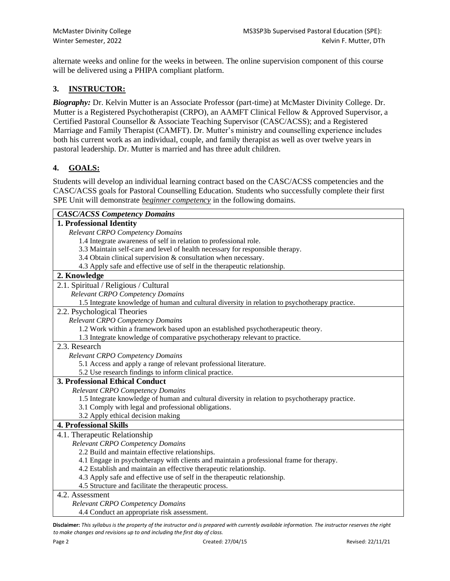alternate weeks and online for the weeks in between. The online supervision component of this course will be delivered using a PHIPA compliant platform.

# **3. INSTRUCTOR:**

*Biography:* Dr. Kelvin Mutter is an Associate Professor (part-time) at McMaster Divinity College. Dr. Mutter is a Registered Psychotherapist (CRPO), an AAMFT Clinical Fellow & Approved Supervisor, a Certified Pastoral Counsellor & Associate Teaching Supervisor (CASC/ACSS); and a Registered Marriage and Family Therapist (CAMFT). Dr. Mutter's ministry and counselling experience includes both his current work as an individual, couple, and family therapist as well as over twelve years in pastoral leadership. Dr. Mutter is married and has three adult children.

# **4. GOALS:**

Students will develop an individual learning contract based on the CASC/ACSS competencies and the CASC/ACSS goals for Pastoral Counselling Education. Students who successfully complete their first SPE Unit will demonstrate *beginner competency* in the following domains.

| <b>CASC/ACSS Competency Domains</b>                                                            |
|------------------------------------------------------------------------------------------------|
| 1. Professional Identity                                                                       |
| Relevant CRPO Competency Domains                                                               |
| 1.4 Integrate awareness of self in relation to professional role.                              |
| 3.3 Maintain self-care and level of health necessary for responsible therapy.                  |
| 3.4 Obtain clinical supervision & consultation when necessary.                                 |
| 4.3 Apply safe and effective use of self in the therapeutic relationship.                      |
| 2. Knowledge                                                                                   |
| 2.1. Spiritual / Religious / Cultural                                                          |
| Relevant CRPO Competency Domains                                                               |
| 1.5 Integrate knowledge of human and cultural diversity in relation to psychotherapy practice. |
| 2.2. Psychological Theories                                                                    |
| Relevant CRPO Competency Domains                                                               |
| 1.2 Work within a framework based upon an established psychotherapeutic theory.                |
| 1.3 Integrate knowledge of comparative psychotherapy relevant to practice.                     |
| 2.3. Research                                                                                  |
| Relevant CRPO Competency Domains                                                               |
| 5.1 Access and apply a range of relevant professional literature.                              |
| 5.2 Use research findings to inform clinical practice.                                         |
| <b>3. Professional Ethical Conduct</b>                                                         |
| Relevant CRPO Competency Domains                                                               |
| 1.5 Integrate knowledge of human and cultural diversity in relation to psychotherapy practice. |
| 3.1 Comply with legal and professional obligations.                                            |
| 3.2 Apply ethical decision making                                                              |
| <b>4. Professional Skills</b>                                                                  |
| 4.1. Therapeutic Relationship                                                                  |
| Relevant CRPO Competency Domains                                                               |
| 2.2 Build and maintain effective relationships.                                                |
| 4.1 Engage in psychotherapy with clients and maintain a professional frame for therapy.        |
| 4.2 Establish and maintain an effective therapeutic relationship.                              |
| 4.3 Apply safe and effective use of self in the therapeutic relationship.                      |
| 4.5 Structure and facilitate the therapeutic process.                                          |
| 4.2. Assessment                                                                                |
| Relevant CRPO Competency Domains                                                               |
| 4.4 Conduct an appropriate risk assessment.                                                    |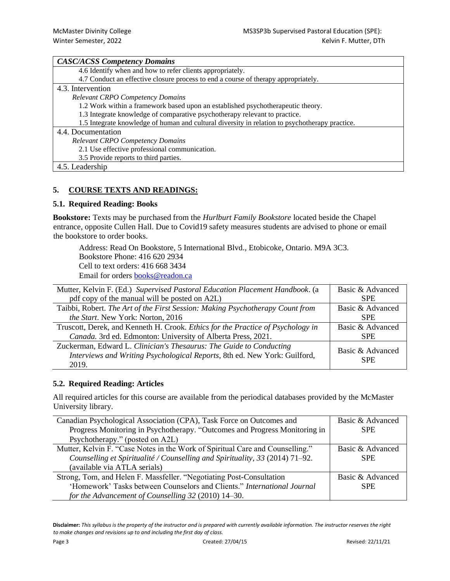| <b>CASC/ACSS Competency Domains</b>                                                            |
|------------------------------------------------------------------------------------------------|
| 4.6 Identify when and how to refer clients appropriately.                                      |
| 4.7 Conduct an effective closure process to end a course of therapy appropriately.             |
| 4.3. Intervention                                                                              |
| <b>Relevant CRPO Competency Domains</b>                                                        |
| 1.2 Work within a framework based upon an established psychotherapeutic theory.                |
| 1.3 Integrate knowledge of comparative psychotherapy relevant to practice.                     |
| 1.5 Integrate knowledge of human and cultural diversity in relation to psychotherapy practice. |
| 4.4. Documentation                                                                             |
| <b>Relevant CRPO Competency Domains</b>                                                        |
| 2.1 Use effective professional communication.                                                  |
| 3.5 Provide reports to third parties.                                                          |
| 4.5. Leadership                                                                                |

# **5. COURSE TEXTS AND READINGS:**

#### **5.1. Required Reading: Books**

**Bookstore:** Texts may be purchased from the *Hurlburt Family Bookstore* located beside the Chapel entrance, opposite Cullen Hall. Due to Covid19 safety measures students are advised to phone or email the bookstore to order books.

Address: Read On Bookstore, 5 International Blvd., Etobicoke, Ontario. M9A 3C3. Bookstore Phone: 416 620 2934 Cell to text orders: 416 668 3434 Email for orders [books@readon.ca](mailto:books@readon.ca)

| Mutter, Kelvin F. (Ed.) Supervised Pastoral Education Placement Handbook. (a                                                                              | Basic & Advanced               |
|-----------------------------------------------------------------------------------------------------------------------------------------------------------|--------------------------------|
| pdf copy of the manual will be posted on A2L)                                                                                                             | <b>SPE</b>                     |
| Taibbi, Robert. The Art of the First Session: Making Psychotherapy Count from                                                                             | Basic & Advanced               |
| the Start. New York: Norton, 2016                                                                                                                         | <b>SPE</b>                     |
| Truscott, Derek, and Kenneth H. Crook. Ethics for the Practice of Psychology in                                                                           | Basic & Advanced               |
| Canada. 3rd ed. Edmonton: University of Alberta Press, 2021.                                                                                              | <b>SPE</b>                     |
| Zuckerman, Edward L. Clinician's Thesaurus: The Guide to Conducting<br>Interviews and Writing Psychological Reports, 8th ed. New York: Guilford,<br>2019. | Basic & Advanced<br><b>SPE</b> |

# **5.2. Required Reading: Articles**

All required articles for this course are available from the periodical databases provided by the McMaster University library.

| Canadian Psychological Association (CPA), Task Force on Outcomes and          | Basic & Advanced |
|-------------------------------------------------------------------------------|------------------|
| Progress Monitoring in Psychotherapy. "Outcomes and Progress Monitoring in    | <b>SPE</b>       |
| Psychotherapy." (posted on A2L)                                               |                  |
| Mutter, Kelvin F. "Case Notes in the Work of Spiritual Care and Counselling." | Basic & Advanced |
| Counselling et Spiritualité / Counselling and Spirituality, 33 (2014) 71–92.  | <b>SPE</b>       |
| (available via ATLA serials)                                                  |                  |
| Strong, Tom, and Helen F. Massfeller. "Negotiating Post-Consultation          | Basic & Advanced |
| 'Homework' Tasks between Counselors and Clients." International Journal       | <b>SPE</b>       |
| for the Advancement of Counselling 32 (2010) 14–30.                           |                  |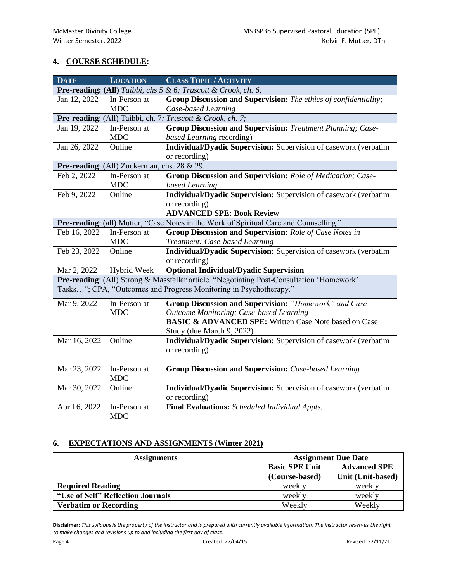# **4. COURSE SCHEDULE:**

| <b>DATE</b>                                                    | <b>LOCATION</b>                                            | <b>CLASS TOPIC / ACTIVITY</b>                                                             |  |  |  |
|----------------------------------------------------------------|------------------------------------------------------------|-------------------------------------------------------------------------------------------|--|--|--|
| Pre-reading: (All) Taibbi, chs 5 & 6; Truscott & Crook, ch. 6; |                                                            |                                                                                           |  |  |  |
| Jan 12, 2022                                                   | In-Person at                                               | Group Discussion and Supervision: The ethics of confidentiality;                          |  |  |  |
|                                                                | <b>MDC</b>                                                 | Case-based Learning                                                                       |  |  |  |
|                                                                | Pre-reading: (All) Taibbi, ch. 7; Truscott & Crook, ch. 7; |                                                                                           |  |  |  |
| Jan 19, 2022                                                   | In-Person at                                               | <b>Group Discussion and Supervision:</b> Treatment Planning; Case-                        |  |  |  |
|                                                                | <b>MDC</b>                                                 | based Learning recording)                                                                 |  |  |  |
| Jan 26, 2022                                                   | Online                                                     | Individual/Dyadic Supervision: Supervision of casework (verbatim                          |  |  |  |
|                                                                |                                                            | or recording)                                                                             |  |  |  |
|                                                                | Pre-reading: (All) Zuckerman, chs. 28 & 29.                |                                                                                           |  |  |  |
| Feb 2, 2022                                                    | In-Person at                                               | Group Discussion and Supervision: Role of Medication; Case-                               |  |  |  |
|                                                                | <b>MDC</b>                                                 | based Learning                                                                            |  |  |  |
| Feb 9, 2022                                                    | Online                                                     | Individual/Dyadic Supervision: Supervision of casework (verbatim                          |  |  |  |
|                                                                |                                                            | or recording)                                                                             |  |  |  |
|                                                                |                                                            | <b>ADVANCED SPE: Book Review</b>                                                          |  |  |  |
|                                                                |                                                            | Pre-reading: (all) Mutter, "Case Notes in the Work of Spiritual Care and Counselling."    |  |  |  |
| Feb 16, 2022                                                   | In-Person at                                               | <b>Group Discussion and Supervision: Role of Case Notes in</b>                            |  |  |  |
|                                                                | <b>MDC</b>                                                 | Treatment: Case-based Learning                                                            |  |  |  |
| Feb 23, 2022                                                   | Online                                                     | Individual/Dyadic Supervision: Supervision of casework (verbatim                          |  |  |  |
|                                                                |                                                            | or recording)                                                                             |  |  |  |
| Mar 2, 2022                                                    | Hybrid Week                                                | <b>Optional Individual/Dyadic Supervision</b>                                             |  |  |  |
|                                                                |                                                            | Pre-reading: (All) Strong & Massfeller article. "Negotiating Post-Consultation 'Homework' |  |  |  |
|                                                                |                                                            | Tasks"; CPA, "Outcomes and Progress Monitoring in Psychotherapy."                         |  |  |  |
| Mar 9, 2022                                                    | In-Person at                                               | Group Discussion and Supervision: "Homework" and Case                                     |  |  |  |
|                                                                | <b>MDC</b>                                                 | <b>Outcome Monitoring; Case-based Learning</b>                                            |  |  |  |
|                                                                |                                                            | <b>BASIC &amp; ADVANCED SPE:</b> Written Case Note based on Case                          |  |  |  |
|                                                                |                                                            | Study (due March 9, 2022)                                                                 |  |  |  |
| Mar 16, 2022                                                   | Online                                                     | Individual/Dyadic Supervision: Supervision of casework (verbatim                          |  |  |  |
|                                                                |                                                            | or recording)                                                                             |  |  |  |
|                                                                |                                                            |                                                                                           |  |  |  |
| Mar 23, 2022                                                   | In-Person at                                               | <b>Group Discussion and Supervision:</b> Case-based Learning                              |  |  |  |
|                                                                | <b>MDC</b>                                                 |                                                                                           |  |  |  |
| Mar 30, 2022                                                   | Online                                                     | Individual/Dyadic Supervision: Supervision of casework (verbatim                          |  |  |  |
|                                                                |                                                            | or recording)                                                                             |  |  |  |
| April 6, 2022                                                  | In-Person at<br><b>MDC</b>                                 | Final Evaluations: Scheduled Individual Appts.                                            |  |  |  |

# **6. EXPECTATIONS AND ASSIGNMENTS (Winter 2021)**

| <b>Assignments</b>                | <b>Assignment Due Date</b> |                     |
|-----------------------------------|----------------------------|---------------------|
|                                   | <b>Basic SPE Unit</b>      | <b>Advanced SPE</b> |
|                                   | (Course-based)             | Unit (Unit-based)   |
| <b>Required Reading</b>           | weekly                     | weekly              |
| "Use of Self" Reflection Journals | weekly                     | weekly              |
| <b>Verbatim or Recording</b>      | Weekly                     | Weekly              |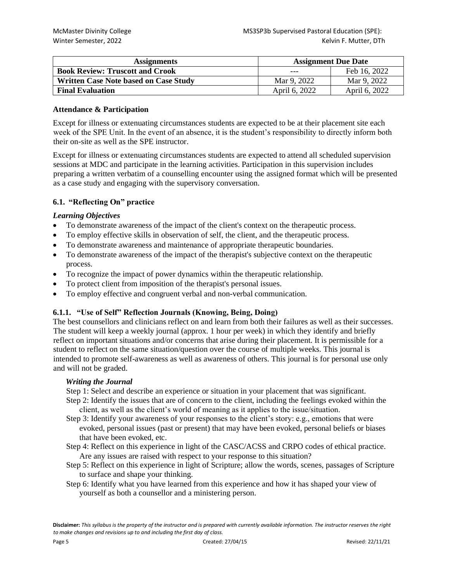| <b>Assignments</b>                           | <b>Assignment Due Date</b> |               |
|----------------------------------------------|----------------------------|---------------|
| <b>Book Review: Truscott and Crook</b>       | ---                        | Feb 16, 2022  |
| <b>Written Case Note based on Case Study</b> | Mar 9, 2022                | Mar 9, 2022   |
| <b>Final Evaluation</b>                      | April 6, 2022              | April 6, 2022 |

## **Attendance & Participation**

Except for illness or extenuating circumstances students are expected to be at their placement site each week of the SPE Unit. In the event of an absence, it is the student's responsibility to directly inform both their on-site as well as the SPE instructor.

Except for illness or extenuating circumstances students are expected to attend all scheduled supervision sessions at MDC and participate in the learning activities. Participation in this supervision includes preparing a written verbatim of a counselling encounter using the assigned format which will be presented as a case study and engaging with the supervisory conversation.

# **6.1. "Reflecting On" practice**

# *Learning Objectives*

- To demonstrate awareness of the impact of the client's context on the therapeutic process.
- To employ effective skills in observation of self, the client, and the therapeutic process.
- To demonstrate awareness and maintenance of appropriate therapeutic boundaries.
- To demonstrate awareness of the impact of the therapist's subjective context on the therapeutic process.
- To recognize the impact of power dynamics within the therapeutic relationship.
- To protect client from imposition of the therapist's personal issues.
- To employ effective and congruent verbal and non-verbal communication.

# **6.1.1. "Use of Self" Reflection Journals (Knowing, Being, Doing)**

The best counsellors and clinicians reflect on and learn from both their failures as well as their successes. The student will keep a weekly journal (approx. 1 hour per week) in which they identify and briefly reflect on important situations and/or concerns that arise during their placement. It is permissible for a student to reflect on the same situation/question over the course of multiple weeks. This journal is intended to promote self-awareness as well as awareness of others. This journal is for personal use only and will not be graded.

#### *Writing the Journal*

Step 1: Select and describe an experience or situation in your placement that was significant.

- Step 2: Identify the issues that are of concern to the client, including the feelings evoked within the client, as well as the client's world of meaning as it applies to the issue/situation.
- Step 3: Identify your awareness of your responses to the client's story: e.g., emotions that were evoked, personal issues (past or present) that may have been evoked, personal beliefs or biases that have been evoked, etc.
- Step 4: Reflect on this experience in light of the CASC/ACSS and CRPO codes of ethical practice. Are any issues are raised with respect to your response to this situation?
- Step 5: Reflect on this experience in light of Scripture; allow the words, scenes, passages of Scripture to surface and shape your thinking.
- Step 6: Identify what you have learned from this experience and how it has shaped your view of yourself as both a counsellor and a ministering person.

**Disclaimer:** *This syllabus is the property of the instructor and is prepared with currently available information. The instructor reserves the right to make changes and revisions up to and including the first day of class.*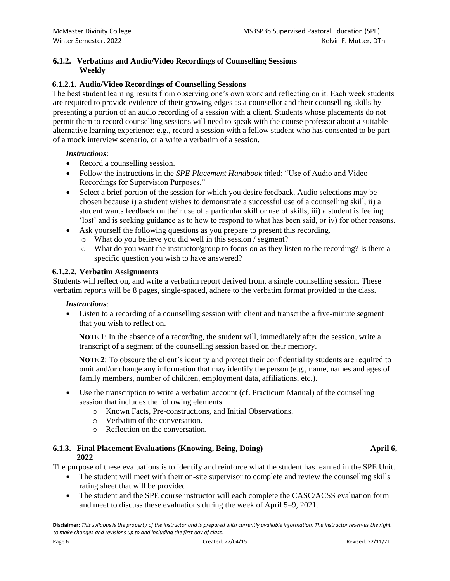# **6.1.2. Verbatims and Audio/Video Recordings of Counselling Sessions Weekly**

# **6.1.2.1. Audio/Video Recordings of Counselling Sessions**

The best student learning results from observing one's own work and reflecting on it. Each week students are required to provide evidence of their growing edges as a counsellor and their counselling skills by presenting a portion of an audio recording of a session with a client. Students whose placements do not permit them to record counselling sessions will need to speak with the course professor about a suitable alternative learning experience: e.g., record a session with a fellow student who has consented to be part of a mock interview scenario, or a write a verbatim of a session.

# *Instructions*:

- Record a counselling session.
- Follow the instructions in the *SPE Placement Handbook* titled: "Use of Audio and Video Recordings for Supervision Purposes."
- Select a brief portion of the session for which you desire feedback. Audio selections may be chosen because i) a student wishes to demonstrate a successful use of a counselling skill, ii) a student wants feedback on their use of a particular skill or use of skills, iii) a student is feeling 'lost' and is seeking guidance as to how to respond to what has been said, or iv) for other reasons.
- Ask yourself the following questions as you prepare to present this recording.
	- o What do you believe you did well in this session / segment?
	- o What do you want the instructor/group to focus on as they listen to the recording? Is there a specific question you wish to have answered?

### **6.1.2.2. Verbatim Assignments**

Students will reflect on, and write a verbatim report derived from, a single counselling session. These verbatim reports will be 8 pages, single-spaced, adhere to the verbatim format provided to the class.

# *Instructions*:

• Listen to a recording of a counselling session with client and transcribe a five-minute segment that you wish to reflect on.

**NOTE 1:** In the absence of a recording, the student will, immediately after the session, write a transcript of a segment of the counselling session based on their memory.

**NOTE 2:** To obscure the client's identity and protect their confidentiality students are required to omit and/or change any information that may identify the person (e.g., name, names and ages of family members, number of children, employment data, affiliations, etc.).

- Use the transcription to write a verbatim account (cf. Practicum Manual) of the counselling session that includes the following elements.
	- o Known Facts, Pre-constructions, and Initial Observations.
	- o Verbatim of the conversation.
	- o Reflection on the conversation.

### **6.1.3. Final Placement Evaluations (Knowing, Being, Doing) April 6, 2022**

The purpose of these evaluations is to identify and reinforce what the student has learned in the SPE Unit.

- The student will meet with their on-site supervisor to complete and review the counselling skills rating sheet that will be provided.
- The student and the SPE course instructor will each complete the CASC/ACSS evaluation form and meet to discuss these evaluations during the week of April 5–9, 2021.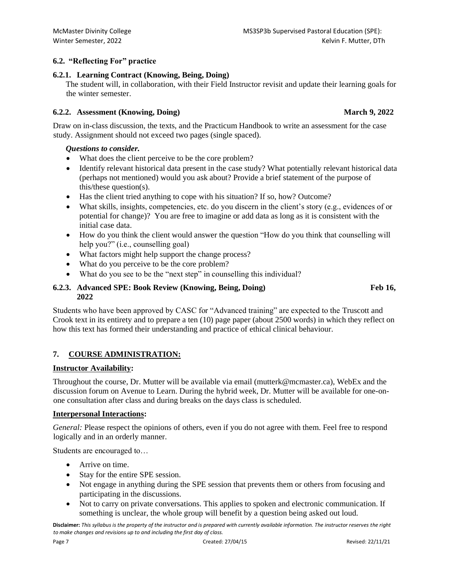# **6.2. "Reflecting For" practice**

# **6.2.1. Learning Contract (Knowing, Being, Doing)**

The student will, in collaboration, with their Field Instructor revisit and update their learning goals for the winter semester.

### **6.2.2. Assessment (Knowing, Doing) March 9, 2022**

Draw on in-class discussion, the texts, and the Practicum Handbook to write an assessment for the case study. Assignment should not exceed two pages (single spaced).

### *Questions to consider.*

- What does the client perceive to be the core problem?
- Identify relevant historical data present in the case study? What potentially relevant historical data (perhaps not mentioned) would you ask about? Provide a brief statement of the purpose of this/these question(s).
- Has the client tried anything to cope with his situation? If so, how? Outcome?
- What skills, insights, competencies, etc. do you discern in the client's story (e.g., evidences of or potential for change)? You are free to imagine or add data as long as it is consistent with the initial case data.
- How do you think the client would answer the question "How do you think that counselling will help you?" (i.e., counselling goal)
- What factors might help support the change process?
- What do you perceive to be the core problem?
- What do you see to be the "next step" in counselling this individual?

# **6.2.3. Advanced SPE: Book Review (Knowing, Being, Doing) Feb 16, 2022**

Students who have been approved by CASC for "Advanced training" are expected to the Truscott and Crook text in its entirety and to prepare a ten (10) page paper (about 2500 words) in which they reflect on how this text has formed their understanding and practice of ethical clinical behaviour.

# **7. COURSE ADMINISTRATION:**

# **Instructor Availability:**

Throughout the course, Dr. Mutter will be available via email (mutterk@mcmaster.ca), WebEx and the discussion forum on Avenue to Learn. During the hybrid week, Dr. Mutter will be available for one-onone consultation after class and during breaks on the days class is scheduled.

# **Interpersonal Interactions:**

*General: Please respect the opinions of others, even if you do not agree with them. Feel free to respond* logically and in an orderly manner.

Students are encouraged to…

- Arrive on time.
- Stay for the entire SPE session.
- Not engage in anything during the SPE session that prevents them or others from focusing and participating in the discussions.
- Not to carry on private conversations. This applies to spoken and electronic communication. If something is unclear, the whole group will benefit by a question being asked out loud.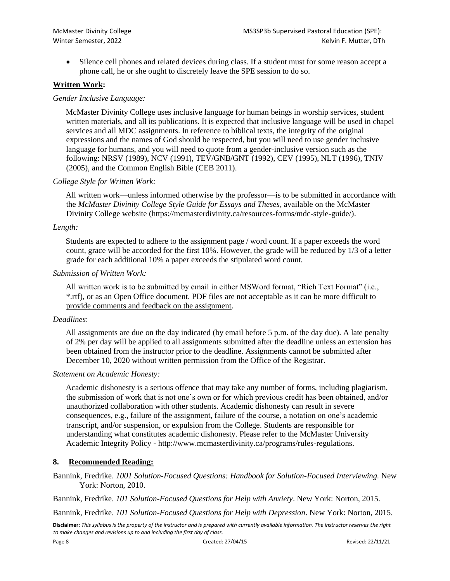• Silence cell phones and related devices during class. If a student must for some reason accept a phone call, he or she ought to discretely leave the SPE session to do so.

# **Written Work:**

## *Gender Inclusive Language:*

McMaster Divinity College uses inclusive language for human beings in worship services, student written materials, and all its publications. It is expected that inclusive language will be used in chapel services and all MDC assignments. In reference to biblical texts, the integrity of the original expressions and the names of God should be respected, but you will need to use gender inclusive language for humans, and you will need to quote from a gender-inclusive version such as the following: NRSV (1989), NCV (1991), TEV/GNB/GNT (1992), CEV (1995), NLT (1996), TNIV (2005), and the Common English Bible (CEB 2011).

### *College Style for Written Work:*

All written work—unless informed otherwise by the professor—is to be submitted in accordance with the *McMaster Divinity College Style Guide for Essays and Theses*, available on the McMaster Divinity College website (https://mcmasterdivinity.ca/resources-forms/mdc-style-guide/).

#### *Length:*

Students are expected to adhere to the assignment page / word count. If a paper exceeds the word count, grace will be accorded for the first 10%. However, the grade will be reduced by 1/3 of a letter grade for each additional 10% a paper exceeds the stipulated word count.

### *Submission of Written Work:*

All written work is to be submitted by email in either MSWord format, "Rich Text Format" (i.e., \*.rtf), or as an Open Office document. PDF files are not acceptable as it can be more difficult to provide comments and feedback on the assignment.

#### *Deadlines*:

All assignments are due on the day indicated (by email before 5 p.m. of the day due). A late penalty of 2% per day will be applied to all assignments submitted after the deadline unless an extension has been obtained from the instructor prior to the deadline. Assignments cannot be submitted after December 10, 2020 without written permission from the Office of the Registrar.

#### *Statement on Academic Honesty:*

Academic dishonesty is a serious offence that may take any number of forms, including plagiarism, the submission of work that is not one's own or for which previous credit has been obtained, and/or unauthorized collaboration with other students. Academic dishonesty can result in severe consequences, e.g., failure of the assignment, failure of the course, a notation on one's academic transcript, and/or suspension, or expulsion from the College. Students are responsible for understanding what constitutes academic dishonesty. Please refer to the McMaster University Academic Integrity Policy - http://www.mcmasterdivinity.ca/programs/rules-regulations.

# **8. Recommended Reading:**

Bannink, Fredrike. 1001 Solution-Focused Questions: Handbook for Solution-Focused Interviewing. New York: Norton, 2010.

Bannink, Fredrike. *101 Solution-Focused Questions for Help with Anxiety*. New York: Norton, 2015.

Bannink, Fredrike. *101 Solution-Focused Questions for Help with Depression*. New York: Norton, 2015.